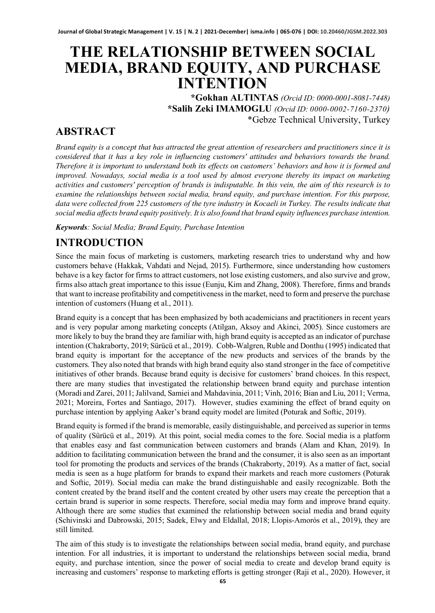# **THE RELATIONSHIP BETWEEN SOCIAL MEDIA, BRAND EQUITY, AND PURCHASE INTENTION**

**\*Gokhan ALTINTAS** *(Orcid ID: 0000-0001-8081-7448)* **\*Salih Zeki IMAMOGLU** *(Orcid ID: 0000-0002-7160-2370)* \*Gebze Technical University, Turkey

### **ABSTRACT**

*Brand equity is a concept that has attracted the great attention of researchers and practitioners since it is considered that it has a key role in influencing customers' attitudes and behaviors towards the brand. Therefore it is important to understand both its effects on customers' behaviors and how it is formed and improved. Nowadays, social media is a tool used by almost everyone thereby its impact on marketing activities and customers' perception of brands is indisputable. In this vein, the aim of this research is to examine the relationships between social media, brand equity, and purchase intention. For this purpose, data were collected from 225 customers of the tyre industry in Kocaeli in Turkey. The results indicate that social media affects brand equity positively. It is also found that brand equity influences purchase intention.*

*Keywords: Social Media; Brand Equity, Purchase Intention*

### **INTRODUCTION**

Since the main focus of marketing is customers, marketing research tries to understand why and how customers behave (Hakkak, Vahdati and Nejad, 2015). Furthermore, since understanding how customers behave is a key factor for firms to attract customers, not lose existing customers, and also survive and grow, firms also attach great importance to this issue (Eunju, Kim and Zhang, 2008). Therefore, firms and brands that want to increase profitability and competitiveness in the market, need to form and preserve the purchase intention of customers (Huang et al., 2011).

Brand equity is a concept that has been emphasized by both academicians and practitioners in recent years and is very popular among marketing concepts (Atilgan, Aksoy and Akinci, 2005). Since customers are more likely to buy the brand they are familiar with, high brand equity is accepted as an indicator of purchase intention (Chakraborty, 2019; Sürücü et al., 2019). Cobb-Walgren, Ruble and Donthu (1995) indicated that brand equity is important for the acceptance of the new products and services of the brands by the customers. They also noted that brands with high brand equity also stand stronger in the face of competitive initiatives of other brands. Because brand equity is decisive for customers' brand choices. In this respect, there are many studies that investigated the relationship between brand equity and purchase intention (Moradi and Zarei, 2011; Jalilvand, Samiei and Mahdavinia, 2011; Vinh, 2016; Bian and Liu, 2011; Verma, 2021; Moreira, Fortes and Santiago, 2017). However, studies examining the effect of brand equity on purchase intention by applying Aaker's brand equity model are limited (Poturak and Softic, 2019).

Brand equity is formed if the brand is memorable, easily distinguishable, and perceived as superior in terms of quality (Sürücü et al., 2019). At this point, social media comes to the fore. Social media is a platform that enables easy and fast communication between customers and brands (Alam and Khan, 2019). In addition to facilitating communication between the brand and the consumer, it is also seen as an important tool for promoting the products and services of the brands (Chakraborty, 2019). As a matter of fact, social media is seen as a huge platform for brands to expand their markets and reach more customers (Poturak and Softic, 2019). Social media can make the brand distinguishable and easily recognizable. Both the content created by the brand itself and the content created by other users may create the perception that a certain brand is superior in some respects. Therefore, social media may form and improve brand equity. Although there are some studies that examined the relationship between social media and brand equity (Schivinski and Dabrowski, 2015; Sadek, Elwy and Eldallal, 2018; Llopis-Amorós et al., 2019), they are still limited.

The aim of this study is to investigate the relationships between social media, brand equity, and purchase intention. For all industries, it is important to understand the relationships between social media, brand equity, and purchase intention, since the power of social media to create and develop brand equity is increasing and customers' response to marketing efforts is getting stronger (Raji et al., 2020). However, it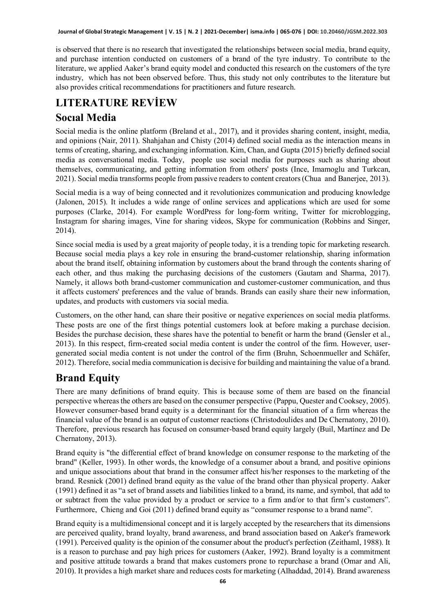is observed that there is no research that investigated the relationships between social media, brand equity, and purchase intention conducted on customers of a brand of the tyre industry. To contribute to the literature, we applied Aaker's brand equity model and conducted this research on the customers of the tyre industry, which has not been observed before. Thus, this study not only contributes to the literature but also provides critical recommendations for practitioners and future research.

# **LITERATURE REVİEW**

### **Socıal Media**

Social media is the online platform (Breland et al., 2017), and it provides sharing content, insight, media, and opinions (Nair, 2011). Shahjahan and Chisty (2014) defined social media as the interaction means in terms of creating, sharing, and exchanging information. Kim, Chan, and Gupta (2015) briefly defined social media as conversational media. Today, people use social media for purposes such as sharing about themselves, communicating, and getting information from others' posts (Ince, Imamoglu and Turkcan, 2021). Social media transforms people from passive readers to content creators (Chua and Banerjee, 2013).

Social media is a way of being connected and it revolutionizes communication and producing knowledge (Jalonen, 2015). It includes a wide range of online services and applications which are used for some purposes (Clarke, 2014). For example WordPress for long-form writing, Twitter for microblogging, Instagram for sharing images, Vine for sharing videos, Skype for communication (Robbins and Singer, 2014).

Since social media is used by a great majority of people today, it is a trending topic for marketing research. Because social media plays a key role in ensuring the brand-customer relationship, sharing information about the brand itself, obtaining information by customers about the brand through the contents sharing of each other, and thus making the purchasing decisions of the customers (Gautam and Sharma, 2017). Namely, it allows both brand-customer communication and customer-customer communication, and thus it affects customers' preferences and the value of brands. Brands can easily share their new information, updates, and products with customers via social media.

Customers, on the other hand, can share their positive or negative experiences on social media platforms. These posts are one of the first things potential customers look at before making a purchase decision. Besides the purchase decision, these shares have the potential to benefit or harm the brand (Gensler et al., 2013). In this respect, firm-created social media content is under the control of the firm. However, usergenerated social media content is not under the control of the firm (Bruhn, Schoenmueller and Schäfer, 2012). Therefore, social media communication is decisive for building and maintaining the value of a brand.

## **Brand Equity**

There are many definitions of brand equity. This is because some of them are based on the financial perspective whereas the others are based on the consumer perspective (Pappu, Quester and Cooksey, 2005). However consumer-based brand equity is a determinant for the financial situation of a firm whereas the financial value of the brand is an output of customer reactions (Christodoulides and De Chernatony, 2010). Therefore, previous research has focused on consumer-based brand equity largely (Buil, Martínez and De Chernatony, 2013).

Brand equity is "the differential effect of brand knowledge on consumer response to the marketing of the brand" (Keller, 1993). In other words, the knowledge of a consumer about a brand, and positive opinions and unique associations about that brand in the consumer affect his/her responses to the marketing of the brand. Resnick (2001) defined brand equity as the value of the brand other than physical property. Aaker (1991) defined it as "a set of brand assets and liabilities linked to a brand, its name, and symbol, that add to or subtract from the value provided by a product or service to a firm and/or to that firm's customers". Furthermore, Chieng and Goi (2011) defined brand equity as "consumer response to a brand name".

Brand equity is a multidimensional concept and it is largely accepted by the researchers that its dimensions are perceived quality, brand loyalty, brand awareness, and brand association based on Aaker's framework (1991). Perceived quality is the opinion of the consumer about the product's perfection (Zeithaml, 1988). It is a reason to purchase and pay high prices for customers (Aaker, 1992). Brand loyalty is a commitment and positive attitude towards a brand that makes customers prone to repurchase a brand (Omar and Ali, 2010). It provides a high market share and reduces costs for marketing (Alhaddad, 2014). Brand awareness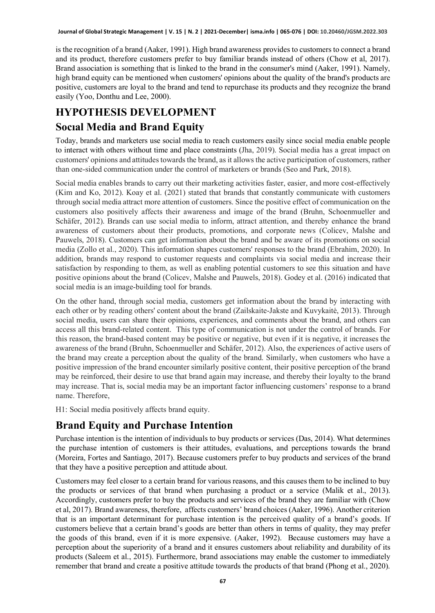is the recognition of a brand (Aaker, 1991). High brand awareness provides to customers to connect a brand and its product, therefore customers prefer to buy familiar brands instead of others (Chow et al, 2017). Brand association is something that is linked to the brand in the consumer's mind (Aaker, 1991). Namely, high brand equity can be mentioned when customers' opinions about the quality of the brand's products are positive, customers are loyal to the brand and tend to repurchase its products and they recognize the brand easily (Yoo, Donthu and Lee, 2000).

### **HYPOTHESIS DEVELOPMENT Socıal Media and Brand Equity**

Today, brands and marketers use social media to reach customers easily since social media enable people to interact with others without time and place constraints (Jha, 2019). Social media has a great impact on customers' opinions and attitudes towards the brand, as it allows the active participation of customers, rather than one-sided communication under the control of marketers or brands (Seo and Park, 2018).

Social media enables brands to carry out their marketing activities faster, easier, and more cost-effectively (Kim and Ko, 2012). Koay et al. (2021) stated that brands that constantly communicate with customers through social media attract more attention of customers. Since the positive effect of communication on the customers also positively affects their awareness and image of the brand (Bruhn, Schoenmueller and Schäfer, 2012). Brands can use social media to inform, attract attention, and thereby enhance the brand awareness of customers about their products, promotions, and corporate news (Colicev, Malshe and Pauwels, 2018). Customers can get information about the brand and be aware of its promotions on social media (Zollo et al., 2020). This information shapes customers' responses to the brand (Ebrahim, 2020). In addition, brands may respond to customer requests and complaints via social media and increase their satisfaction by responding to them, as well as enabling potential customers to see this situation and have positive opinions about the brand (Colicev, Malshe and Pauwels, 2018). Godey et al. (2016) indicated that social media is an image-building tool for brands.

On the other hand, through social media, customers get information about the brand by interacting with each other or by reading others' content about the brand (Zailskaite-Jakste and Kuvykaitė, 2013). Through social media, users can share their opinions, experiences, and comments about the brand, and others can access all this brand-related content. This type of communication is not under the control of brands. For this reason, the brand-based content may be positive or negative, but even if it is negative, it increases the awareness of the brand (Bruhn, Schoenmueller and Schäfer, 2012). Also, the experiences of active users of the brand may create a perception about the quality of the brand. Similarly, when customers who have a positive impression of the brand encounter similarly positive content, their positive perception of the brand may be reinforced, their desire to use that brand again may increase, and thereby their loyalty to the brand may increase. That is, social media may be an important factor influencing customers' response to a brand name. Therefore,

H1: Social media positively affects brand equity.

## **Brand Equity and Purchase Intention**

Purchase intention is the intention of individuals to buy products or services (Das, 2014). What determines the purchase intention of customers is their attitudes, evaluations, and perceptions towards the brand (Moreira, Fortes and Santiago, 2017). Because customers prefer to buy products and services of the brand that they have a positive perception and attitude about.

Customers may feel closer to a certain brand for various reasons, and this causes them to be inclined to buy the products or services of that brand when purchasing a product or a service (Malik et al., 2013). Accordingly, customers prefer to buy the products and services of the brand they are familiar with (Chow et al, 2017). Brand awareness, therefore, affects customers' brand choices (Aaker, 1996). Another criterion that is an important determinant for purchase intention is the perceived quality of a brand's goods. If customers believe that a certain brand's goods are better than others in terms of quality, they may prefer the goods of this brand, even if it is more expensive. (Aaker, 1992). Because customers may have a perception about the superiority of a brand and it ensures customers about reliability and durability of its products (Saleem et al., 2015). Furthermore, brand associations may enable the customer to immediately remember that brand and create a positive attitude towards the products of that brand (Phong et al., 2020).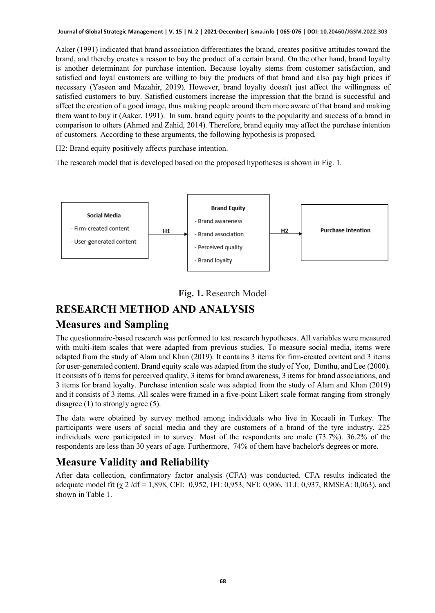Aaker (1991) indicated that brand association differentiates the brand, creates positive attitudes toward the brand, and thereby creates a reason to buy the product of a certain brand. On the other hand, brand loyalty is another determinant for purchase intention. Because loyalty stems from customer satisfaction, and satisfied and loyal customers are willing to buy the products of that brand and also pay high prices if necessary (Yaseen and Mazahir, 2019). However, brand loyalty doesn't just affect the willingness of satisfied customers to buy. Satisfied customers increase the impression that the brand is successful and affect the creation of a good image, thus making people around them more aware of that brand and making them want to buy it (Aaker, 1991). In sum, brand equity points to the popularity and success of a brand in comparison to others (Ahmed and Zahid, 2014). Therefore, brand equity may affect the purchase intention of customers. According to these arguments, the following hypothesis is proposed.

H2: Brand equity positively affects purchase intention.

The research model that is developed based on the proposed hypotheses is shown in Fig. 1.





### **RESEARCH METHOD AND ANALYSIS**

### **Measures and Sampling**

The questionnaire-based research was performed to test research hypotheses. All variables were measured with multi-item scales that were adapted from previous studies. To measure social media, items were adapted from the study of Alam and Khan (2019). It contains 3 items for firm-created content and 3 items for user-generated content. Brand equity scale was adapted from the study of Yoo, Donthu, and Lee (2000). It consists of 6 items for perceived quality, 3 items for brand awareness, 3 items for brand associations, and 3 items for brand loyalty. Purchase intention scale was adapted from the study of Alam and Khan (2019) and it consists of 3 items. All scales were framed in a five-point Likert scale format ranging from strongly disagree (1) to strongly agree (5).

The data were obtained by survey method among individuals who live in Kocaeli in Turkey. The participants were users of social media and they are customers of a brand of the tyre industry. 225 individuals were participated in to survey. Most of the respondents are male (73.7%). 36.2% of the respondents are less than 30 years of age. Furthermore, 74% of them have bachelor's degrees or more.

### **Measure Validity and Reliability**

After data collection, confirmatory factor analysis (CFA) was conducted. CFA results indicated the adequate model fit  $(\chi 2 /df = 1,898, CFI: 0,952, IFI: 0,953, NFI: 0,906, TLI: 0,937, RMSEA: 0,063), and$ shown in Table 1.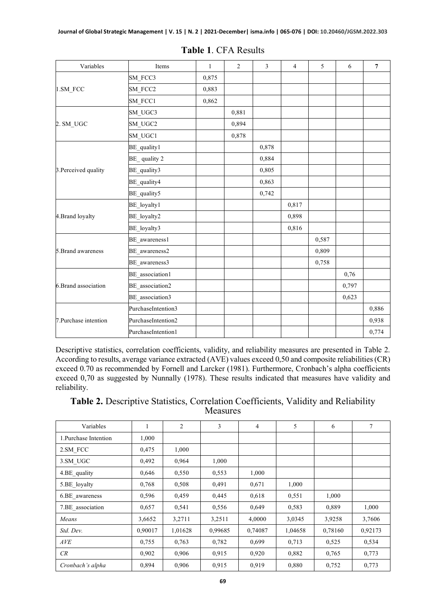| Variables             | Items              | $\mathbf{1}$ | $\overline{2}$ | 3     | $\overline{4}$ | 5     | 6     | $\overline{7}$ |
|-----------------------|--------------------|--------------|----------------|-------|----------------|-------|-------|----------------|
|                       | SM FCC3            | 0,875        |                |       |                |       |       |                |
| 1.SM_FCC              | SM FCC2            | 0,883        |                |       |                |       |       |                |
|                       | SM FCC1            | 0,862        |                |       |                |       |       |                |
|                       | SM_UGC3            |              | 0,881          |       |                |       |       |                |
| 2. SM UGC             | SM UGC2            |              | 0,894          |       |                |       |       |                |
|                       | SM UGC1            |              | 0,878          |       |                |       |       |                |
| 3. Perceived quality  | BE_quality1        |              |                | 0,878 |                |       |       |                |
|                       | $BE$ quality 2     |              |                | 0,884 |                |       |       |                |
|                       | BE quality3        |              |                | 0,805 |                |       |       |                |
|                       | BE_quality4        |              |                | 0,863 |                |       |       |                |
|                       | BE_quality5        |              |                | 0,742 |                |       |       |                |
| 4.Brand loyalty       | BE_loyalty1        |              |                |       | 0,817          |       |       |                |
|                       | BE loyalty2        |              |                |       | 0,898          |       |       |                |
|                       | BE_loyalty3        |              |                |       | 0,816          |       |       |                |
| 5. Brand awareness    | BE awareness1      |              |                |       |                | 0,587 |       |                |
|                       | BE_awareness2      |              |                |       |                | 0,809 |       |                |
|                       | BE_awareness3      |              |                |       |                | 0,758 |       |                |
| 6.Brand association   | BE association1    |              |                |       |                |       | 0,76  |                |
|                       | BE_association2    |              |                |       |                |       | 0,797 |                |
|                       | BE association3    |              |                |       |                |       | 0,623 |                |
|                       | PurchaseIntention3 |              |                |       |                |       |       | 0,886          |
| 7. Purchase intention | PurchaseIntention2 |              |                |       |                |       |       | 0,938          |
|                       | PurchaseIntention1 |              |                |       |                |       |       | 0,774          |

|  | <b>Table 1. CFA Results</b> |
|--|-----------------------------|
|--|-----------------------------|

Descriptive statistics, correlation coefficients, validity, and reliability measures are presented in Table 2. According to results, average variance extracted (AVE) values exceed 0,50 and composite reliabilities (CR) exceed 0.70 as recommended by Fornell and Larcker (1981). Furthermore, Cronbach's alpha coefficients exceed 0,70 as suggested by Nunnally (1978). These results indicated that measures have validity and reliability.

| Table 2. Descriptive Statistics, Correlation Coefficients, Validity and Reliability |                 |  |  |
|-------------------------------------------------------------------------------------|-----------------|--|--|
|                                                                                     | <b>Measures</b> |  |  |

| Variables             | 1       | $\overline{c}$ | 3       | $\overline{4}$ | 5       | 6       | 7       |
|-----------------------|---------|----------------|---------|----------------|---------|---------|---------|
| 1. Purchase Intention | 1,000   |                |         |                |         |         |         |
| 2.SM FCC              | 0,475   | 1,000          |         |                |         |         |         |
| 3.SM UGC              | 0,492   | 0,964          | 1,000   |                |         |         |         |
| 4.BE quality          | 0,646   | 0,550          | 0,553   | 1,000          |         |         |         |
| 5.BE loyalty          | 0,768   | 0,508          | 0,491   | 0,671          | 1,000   |         |         |
| 6.BE awareness        | 0,596   | 0,459          | 0,445   | 0,618          | 0,551   | 1,000   |         |
| 7.BE association      | 0,657   | 0,541          | 0,556   | 0,649          | 0,583   | 0,889   | 1,000   |
| Means                 | 3,6652  | 3,2711         | 3,2511  | 4,0000         | 3,0345  | 3,9258  | 3,7606  |
| Std. Dev.             | 0,90017 | 1,01628        | 0,99685 | 0,74087        | 1,04658 | 0,78160 | 0,92173 |
| AVE                   | 0,755   | 0,763          | 0,782   | 0.699          | 0,713   | 0,525   | 0,534   |
| CR                    | 0,902   | 0.906          | 0.915   | 0,920          | 0,882   | 0,765   | 0,773   |
| Cronbach's alpha      | 0,894   | 0,906          | 0,915   | 0.919          | 0,880   | 0,752   | 0,773   |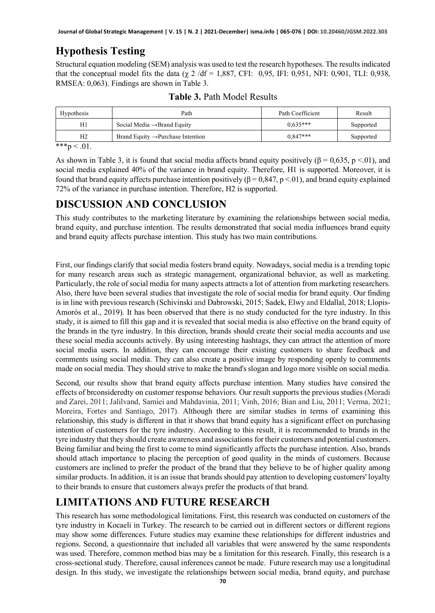### **Hypothesis Testing**

Structural equation modeling (SEM) analysis was used to test the research hypotheses. The results indicated that the conceptual model fits the data ( $\chi$  2 /df = 1,887, CFI: 0,95, IFI: 0,951, NFI: 0,901, TLI: 0,938, RMSEA: 0,063). Findings are shown in Table 3.

| Hypothesis     | Path                                          | Path Coefficient | Result    |  |
|----------------|-----------------------------------------------|------------------|-----------|--|
| H1             | Social Media $\rightarrow$ Brand Equity       | $0.635***$       | Supported |  |
| H <sub>2</sub> | Brand Equity $\rightarrow$ Purchase Intention | $0.847***$       | Supported |  |

**Table 3.** Path Model Results

\*\*\*p  $< 01$ .

As shown in Table 3, it is found that social media affects brand equity positively ( $\beta = 0.635$ , p <.01), and social media explained 40% of the variance in brand equity. Therefore, H1 is supported. Moreover, it is found that brand equity affects purchase intention positively (β = 0,847, p <.01), and brand equity explained 72% of the variance in purchase intention. Therefore, H2 is supported.

### **DISCUSSION AND CONCLUSION**

This study contributes to the marketing literature by examining the relationships between social media, brand equity, and purchase intention. The results demonstrated that social media influences brand equity and brand equity affects purchase intention. This study has two main contributions.

First, our findings clarify that social media fosters brand equity. Nowadays, social media is a trending topic for many research areas such as strategic management, organizational behavior, as well as marketing. Particularly, the role of social media for many aspects attracts a lot of attention from marketing researchers. Also, there have been several studies that investigate the role of social media for brand equity. Our finding is in line with previous research (Schivinski and Dabrowski, 2015; Sadek, Elwy and Eldallal, 2018; Llopis-Amorós et al., 2019). It has been observed that there is no study conducted for the tyre industry. In this study, it is aimed to fill this gap and it is revealed that social media is also effective on the brand equity of the brands in the tyre industry. In this direction, brands should create their social media accounts and use these social media accounts actively. By using interesting hashtags, they can attract the attention of more social media users. In addition, they can encourage their existing customers to share feedback and comments using social media. They can also create a positive image by responding openly to comments made on social media. They should strive to make the brand's slogan and logo more visible on social media.

Second, our results show that brand equity affects purchase intention. Many studies have consired the effects of brconsideredty on customer response behaviors. Our result supports the previous studies (Moradi and Zarei, 2011; Jalilvand, Samiei and Mahdavinia, 2011; Vinh, 2016; Bian and Liu, 2011; Verma, 2021; Moreira, Fortes and Santiago, 2017). Although there are similar studies in terms of examining this relationship, this study is different in that it shows that brand equity has a significant effect on purchasing intention of customers for the tyre industry. According to this result, it is recommended to brands in the tyre industry that they should create awareness and associations for their customers and potential customers. Being familiar and being the first to come to mind significantly affects the purchase intention. Also, brands should attach importance to placing the perception of good quality in the minds of customers. Because customers are inclined to prefer the product of the brand that they believe to be of higher quality among similar products. In addition, it is an issue that brands should pay attention to developing customers' loyalty to their brands to ensure that customers always prefer the products of that brand.

## **LIMITATIONS AND FUTURE RESEARCH**

This research has some methodological limitations. First, this research was conducted on customers of the tyre industry in Kocaeli in Turkey. The research to be carried out in different sectors or different regions may show some differences. Future studies may examine these relationships for different industries and regions. Second, a questionnaire that included all variables that were answered by the same respondents was used. Therefore, common method bias may be a limitation for this research. Finally, this research is a cross-sectional study. Therefore, causal inferences cannot be made. Future research may use a longitudinal design. In this study, we investigate the relationships between social media, brand equity, and purchase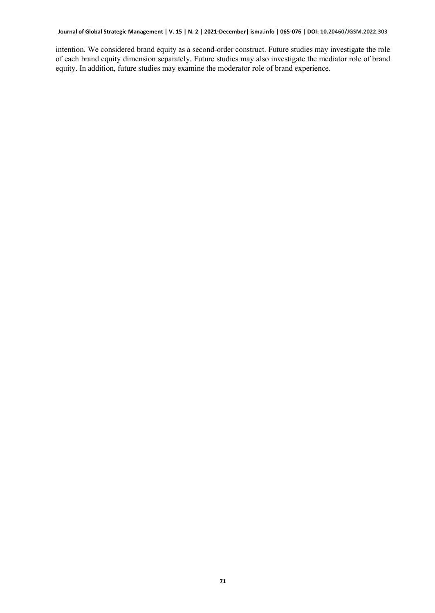intention. We considered brand equity as a second-order construct. Future studies may investigate the role of each brand equity dimension separately. Future studies may also investigate the mediator role of brand equity. In addition, future studies may examine the moderator role of brand experience.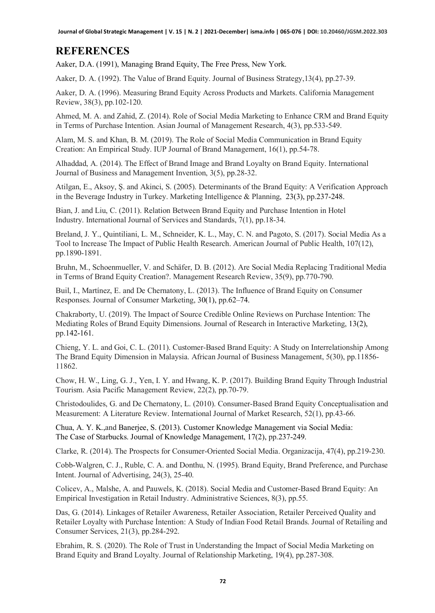### **REFERENCES**

Aaker, D.A. (1991), Managing Brand Equity, The Free Press, New York.

Aaker, D. A. (1992). The Value of Brand Equity. Journal of Business Strategy,13(4), pp.27-39.

Aaker, D. A. (1996). Measuring Brand Equity Across Products and Markets. California Management Review, 38(3), pp.102-120.

Ahmed, M. A. and Zahid, Z. (2014). Role of Social Media Marketing to Enhance CRM and Brand Equity in Terms of Purchase Intention. Asian Journal of Management Research, 4(3), pp.533-549.

Alam, M. S. and Khan, B. M. (2019). The Role of Social Media Communication in Brand Equity Creation: An Empirical Study. IUP Journal of Brand Management, 16(1), pp.54-78.

Alhaddad, A. (2014). The Effect of Brand Image and Brand Loyalty on Brand Equity. International Journal of Business and Management Invention, 3(5), pp.28-32.

Atilgan, E., Aksoy, Ş. and Akinci, S. (2005). Determinants of the Brand Equity: A Verification Approach in the Beverage Industry in Turkey. Marketing Intelligence & Planning, 23(3), pp.237-248.

Bian, J. and Liu, C. (2011). Relation Between Brand Equity and Purchase Intention in Hotel Industry. International Journal of Services and Standards, 7(1), pp.18-34.

Breland, J. Y., Quintiliani, L. M., Schneider, K. L., May, C. N. and Pagoto, S. (2017). Social Media As a Tool to Increase The Impact of Public Health Research. American Journal of Public Health, 107(12), pp.1890-1891.

Bruhn, M., Schoenmueller, V. and Schäfer, D. B. (2012). Are Social Media Replacing Traditional Media in Terms of Brand Equity Creation?. Management Research Review, 35(9), pp.770-790.

Buil, I., Martínez, E. and De Chernatony, L. (2013). The Influence of Brand Equity on Consumer Responses. Journal of Consumer Marketing, 30(1), pp.62–74.

Chakraborty, U. (2019). The Impact of Source Credible Online Reviews on Purchase Intention: The Mediating Roles of Brand Equity Dimensions. Journal of Research in Interactive Marketing, 13(2), pp.142-161.

Chieng, Y. L. and Goi, C. L. (2011). Customer-Based Brand Equity: A Study on Interrelationship Among The Brand Equity Dimension in Malaysia. African Journal of Business Management, 5(30), pp.11856- 11862.

Chow, H. W., Ling, G. J., Yen, I. Y. and Hwang, K. P. (2017). Building Brand Equity Through Industrial Tourism. Asia Pacific Management Review, 22(2), pp.70-79.

Christodoulides, G. and De Chernatony, L. (2010). Consumer-Based Brand Equity Conceptualisation and Measurement: A Literature Review. International Journal of Market Research, 52(1), pp.43-66.

Chua, A. Y. K.,and Banerjee, S. (2013). Customer Knowledge Management via Social Media: The Case of Starbucks. Journal of Knowledge Management, 17(2), pp.237-249.

Clarke, R. (2014). The Prospects for Consumer-Oriented Social Media. Organizacija, 47(4), pp.219-230.

Cobb-Walgren, C. J., Ruble, C. A. and Donthu, N. (1995). Brand Equity, Brand Preference, and Purchase Intent. Journal of Advertising, 24(3), 25-40.

Colicev, A., Malshe, A. and Pauwels, K. (2018). Social Media and Customer-Based Brand Equity: An Empirical Investigation in Retail Industry. Administrative Sciences, 8(3), pp.55.

Das, G. (2014). Linkages of Retailer Awareness, Retailer Association, Retailer Perceived Quality and Retailer Loyalty with Purchase İntention: A Study of Indian Food Retail Brands. Journal of Retailing and Consumer Services, 21(3), pp.284-292.

Ebrahim, R. S. (2020). The Role of Trust in Understanding the Impact of Social Media Marketing on Brand Equity and Brand Loyalty. Journal of Relationship Marketing, 19(4), pp.287-308.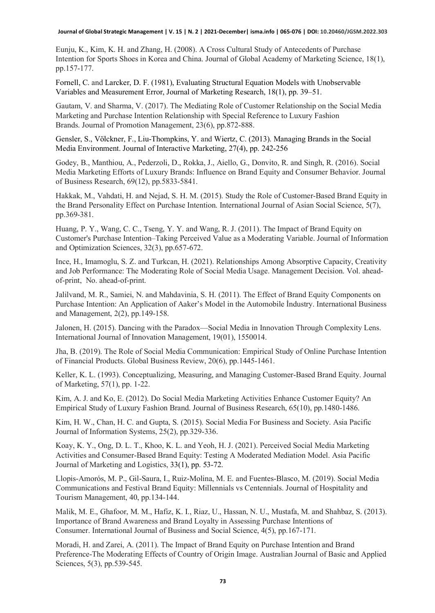Eunju, K., Kim, K. H. and Zhang, H. (2008). A Cross Cultural Study of Antecedents of Purchase Intention for Sports Shoes in Korea and China. Journal of Global Academy of Marketing Science, 18(1), pp.157-177.

Fornell, C. and Larcker, D. F. (1981), Evaluating Structural Equation Models with Unobservable Variables and Measurement Error, Journal of Marketing Research, 18(1), pp. 39–51.

Gautam, V. and Sharma, V. (2017). The Mediating Role of Customer Relationship on the Social Media Marketing and Purchase Intention Relationship with Special Reference to Luxury Fashion Brands. Journal of Promotion Management, 23(6), pp.872-888.

Gensler, S., Völckner, F., Liu-Thompkins, Y. and Wiertz, C. (2013). Managing Brands in the Social Media Environment. Journal of Interactive Marketing, 27(4), pp. 242-256

Godey, B., Manthiou, A., Pederzoli, D., Rokka, J., Aiello, G., Donvito, R. and Singh, R. (2016). Social Media Marketing Efforts of Luxury Brands: Influence on Brand Equity and Consumer Behavior. Journal of Business Research, 69(12), pp.5833-5841.

Hakkak, M., Vahdati, H. and Nejad, S. H. M. (2015). Study the Role of Customer-Based Brand Equity in the Brand Personality Effect on Purchase Intention. International Journal of Asian Social Science, 5(7), pp.369-381.

Huang, P. Y., Wang, C. C., Tseng, Y. Y. and Wang, R. J. (2011). The Impact of Brand Equity on Customer's Purchase Intention–Taking Perceived Value as a Moderating Variable. Journal of Information and Optimization Sciences, 32(3), pp.657-672.

Ince, H., Imamoglu, S. Z. and Turkcan, H. (2021). Relationships Among Absorptive Capacity, Creativity and Job Performance: The Moderating Role of Social Media Usage. Management Decision. Vol. aheadof-print, No. ahead-of-print.

Jalilvand, M. R., Samiei, N. and Mahdavinia, S. H. (2011). The Effect of Brand Equity Components on Purchase Intention: An Application of Aaker's Model in the Automobile İndustry. International Business and Management, 2(2), pp.149-158.

Jalonen, H. (2015). Dancing with the Paradox—Social Media in Innovation Through Complexity Lens. International Journal of Innovation Management, 19(01), 1550014.

Jha, B. (2019). The Role of Social Media Communication: Empirical Study of Online Purchase Intention of Financial Products. Global Business Review, 20(6), pp.1445-1461.

Keller, K. L. (1993). Conceptualizing, Measuring, and Managing Customer-Based Brand Equity. Journal of Marketing, 57(1), pp. 1-22.

Kim, A. J. and Ko, E. (2012). Do Social Media Marketing Activities Enhance Customer Equity? An Empirical Study of Luxury Fashion Brand. Journal of Business Research, 65(10), pp.1480-1486.

Kim, H. W., Chan, H. C. and Gupta, S. (2015). Social Media For Business and Society. Asia Pacific Journal of Information Systems, 25(2), pp.329-336.

Koay, K. Y., Ong, D. L. T., Khoo, K. L. and Yeoh, H. J. (2021). Perceived Social Media Marketing Activities and Consumer-Based Brand Equity: Testing A Moderated Mediation Model. Asia Pacific Journal of Marketing and Logistics, 33(1), pp. 53-72.

Llopis-Amorós, M. P., Gil-Saura, I., Ruiz-Molina, M. E. and Fuentes-Blasco, M. (2019). Social Media Communications and Festival Brand Equity: Millennials vs Centennials. Journal of Hospitality and Tourism Management, 40, pp.134-144.

Malik, M. E., Ghafoor, M. M., Hafiz, K. I., Riaz, U., Hassan, N. U., Mustafa, M. and Shahbaz, S. (2013). Importance of Brand Awareness and Brand Loyalty in Assessing Purchase Intentions of Consumer. International Journal of Business and Social Science, 4(5), pp.167-171.

Moradi, H. and Zarei, A. (2011). The Impact of Brand Equity on Purchase Intention and Brand Preference-The Moderating Effects of Country of Origin Image. Australian Journal of Basic and Applied Sciences, 5(3), pp.539-545.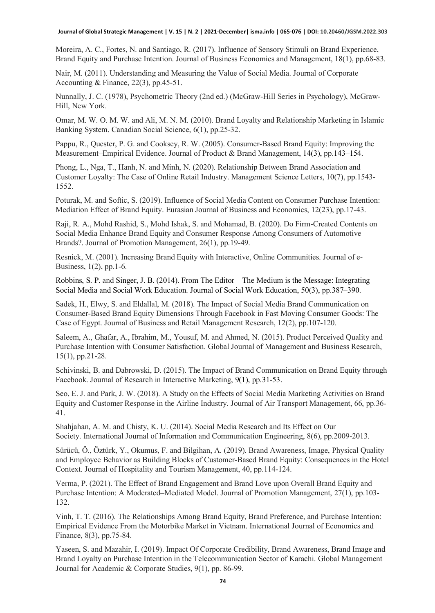Moreira, A. C., Fortes, N. and Santiago, R. (2017). Influence of Sensory Stimuli on Brand Experience, Brand Equity and Purchase Intention. Journal of Business Economics and Management, 18(1), pp.68-83.

Nair, M. (2011). Understanding and Measuring the Value of Social Media. Journal of Corporate Accounting & Finance, 22(3), pp.45-51.

Nunnally, J. C. (1978), Psychometric Theory (2nd ed.) (McGraw-Hill Series in Psychology), McGraw-Hill, New York.

Omar, M. W. O. M. W. and Ali, M. N. M. (2010). Brand Loyalty and Relationship Marketing in Islamic Banking System. Canadian Social Science, 6(1), pp.25-32.

Pappu, R., Quester, P. G. and Cooksey, R. W. (2005). Consumer‐Based Brand Equity: Improving the Measurement–Empirical Evidence. Journal of Product & Brand Management, 14(3), pp.143–154.

Phong, L., Nga, T., Hanh, N. and Minh, N. (2020). Relationship Between Brand Association and Customer Loyalty: The Case of Online Retail Industry. Management Science Letters, 10(7), pp.1543- 1552.

Poturak, M. and Softic, S. (2019). Influence of Social Media Content on Consumer Purchase Intention: Mediation Effect of Brand Equity. Eurasian Journal of Business and Economics, 12(23), pp.17-43.

Raji, R. A., Mohd Rashid, S., Mohd Ishak, S. and Mohamad, B. (2020). Do Firm-Created Contents on Social Media Enhance Brand Equity and Consumer Response Among Consumers of Automotive Brands?. Journal of Promotion Management, 26(1), pp.19-49.

Resnick, M. (2001). Increasing Brand Equity with Interactive, Online Communities. Journal of e-Business, 1(2), pp.1-6.

Robbins, S. P. and Singer, J. B. (2014). From The Editor—The Medium is the Message: Integrating Social Media and Social Work Education. Journal of Social Work Education, 50(3), pp.387–390.

Sadek, H., Elwy, S. and Eldallal, M. (2018). The Impact of Social Media Brand Communication on Consumer-Based Brand Equity Dimensions Through Facebook in Fast Moving Consumer Goods: The Case of Egypt. Journal of Business and Retail Management Research, 12(2), pp.107-120.

Saleem, A., Ghafar, A., Ibrahim, M., Yousuf, M. and Ahmed, N. (2015). Product Perceived Quality and Purchase Intention with Consumer Satisfaction. Global Journal of Management and Business Research, 15(1), pp.21-28.

Schivinski, B. and Dabrowski, D. (2015). The Impact of Brand Communication on Brand Equity through Facebook. Journal of Research in Interactive Marketing, 9(1), pp.31-53.

Seo, E. J. and Park, J. W. (2018). A Study on the Effects of Social Media Marketing Activities on Brand Equity and Customer Response in the Airline Industry. Journal of Air Transport Management, 66, pp.36- 41.

Shahjahan, A. M. and Chisty, K. U. (2014). Social Media Research and Its Effect on Our Society. International Journal of Information and Communication Engineering, 8(6), pp.2009-2013.

Sürücü, Ö., Öztürk, Y., Okumus, F. and Bilgihan, A. (2019). Brand Awareness, Image, Physical Quality and Employee Behavior as Building Blocks of Customer-Based Brand Equity: Consequences in the Hotel Context. Journal of Hospitality and Tourism Management, 40, pp.114-124.

Verma, P. (2021). The Effect of Brand Engagement and Brand Love upon Overall Brand Equity and Purchase Intention: A Moderated–Mediated Model. Journal of Promotion Management, 27(1), pp.103- 132.

Vinh, T. T. (2016). The Relationships Among Brand Equity, Brand Preference, and Purchase Intention: Empirical Evidence From the Motorbike Market in Vietnam. International Journal of Economics and Finance, 8(3), pp.75-84.

Yaseen, S. and Mazahir, I. (2019). Impact Of Corporate Credibility, Brand Awareness, Brand Image and Brand Loyalty on Purchase Intention in the Telecommunication Sector of Karachi. Global Management Journal for Academic & Corporate Studies, 9(1), pp. 86-99.